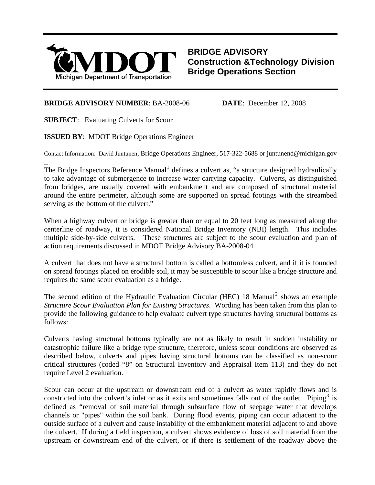

**BRIDGE ADVISORY Construction &Technology Division Bridge Operations Section**

## **BRIDGE ADVISORY NUMBER**: BA-2008-06 **DATE**: December 12, 2008

**SUBJECT**: Evaluating Culverts for Scour

 $\overline{a}$ 

**ISSUED BY**: MDOT Bridge Operations Engineer

Contact Information: David Juntunen, Bridge Operations Engineer, 517-322-5688 or juntunend@michigan.gov

The Bridge Inspectors Reference Manual<sup>[1](#page-1-0)</sup> defines a culvert as, "a structure designed hydraulically to take advantage of submergence to increase water carrying capacity. Culverts, as distinguished from bridges, are usually covered with embankment and are composed of structural material around the entire perimeter, although some are supported on spread footings with the streambed serving as the bottom of the culvert."

When a highway culvert or bridge is greater than or equal to 20 feet long as measured along the centerline of roadway, it is considered National Bridge Inventory (NBI) length. This includes multiple side-by-side culverts. These structures are subject to the scour evaluation and plan of action requirements discussed in MDOT Bridge Advisory BA-2008-04.

A culvert that does not have a structural bottom is called a bottomless culvert, and if it is founded on spread footings placed on erodible soil, it may be susceptible to scour like a bridge structure and requires the same scour evaluation as a bridge.

The second edition of the Hydraulic Evaluation Circular (HEC) 18 Manual<sup>[2](#page-1-1)</sup> shows an example *Structure Scour Evaluation Plan for Existing Structures*. Wording has been taken from this plan to provide the following guidance to help evaluate culvert type structures having structural bottoms as follows:

Culverts having structural bottoms typically are not as likely to result in sudden instability or catastrophic failure like a bridge type structure, therefore, unless scour conditions are observed as described below, culverts and pipes having structural bottoms can be classified as non-scour critical structures (coded "8" on Structural Inventory and Appraisal Item 113) and they do not require Level 2 evaluation.

Scour can occur at the upstream or downstream end of a culvert as water rapidly flows and is constricted into the culvert's inlet or as it exits and sometimes falls out of the outlet. Piping<sup>[3](#page-1-1)</sup> is defined as "removal of soil material through subsurface flow of seepage water that develops channels or "pipes" within the soil bank. During flood events, piping can occur adjacent to the outside surface of a culvert and cause instability of the embankment material adjacent to and above the culvert. If during a field inspection, a culvert shows evidence of loss of soil material from the upstream or downstream end of the culvert, or if there is settlement of the roadway above the